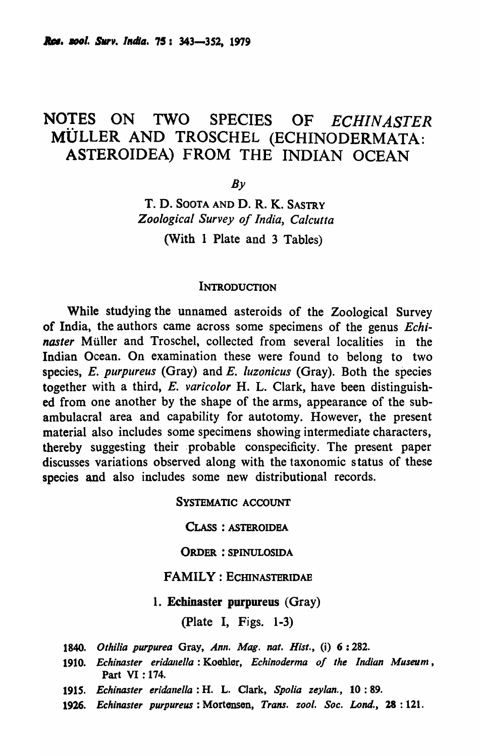# NOTES ON TWO SPECIES OF *ECHINASTER*  MULLER AND TROSCHEL (ECHINODERMATA: ASTEROIDEA) FROM THE INDIAN OCEAN

 $By$ 

T. D. SOOTA AND D. R. K. SASTRY *Zoological Survey of India, Calcutta*  (With 1 Plate and 3 Tables)

#### **INTRODUCTION**

While studying the unnamed asteroids of the Zoological Survey of India, the authors came across some specimens of the genus *Echinaster* Müller and Troschel, collected from several localities in the Indian Ocean. On examination these were found to belong to two species, *E. purpureus* (Gray) and *E. luzonicus* (Gray). Both the species together with a third, *E. varicolor* H. L. Clark, have been distinguished from one another by the shape of the arms, appearance of the subambulacral area and capability for autotomy. However, the present material also includes some specimens showing intermediate characters, thereby suggesting their probable conspecificity. The present paper discusses variations observed along with the taxonomic status of these species and also includes some new distributional records.

SYSTEMATIC ACCOUNT

CLASS : ASTEROIDEA

ORDER : SPINULOSIDA

### FAMILY: ECHINASTERIDAE

1. Echinaster purpureus (Gray)

(plate I, Figs. 1-3)

- 1840. Othilia purpurea Gray, *Ann. Mag. nat. Hist.*, (i) 6:282.
- 1910. *Echinaster eridanella*: Koehler, *Echinoderma of the Indian Museum*, Part VI : 174.
- 1915. *Echinasler eridanella:* H. L. Clark, *Spolia zeylan.,* 10: 89.
- 1926. Echinaster purpureus: Mortensen, *Trans. zool. Soc. Lond.*, 28:121.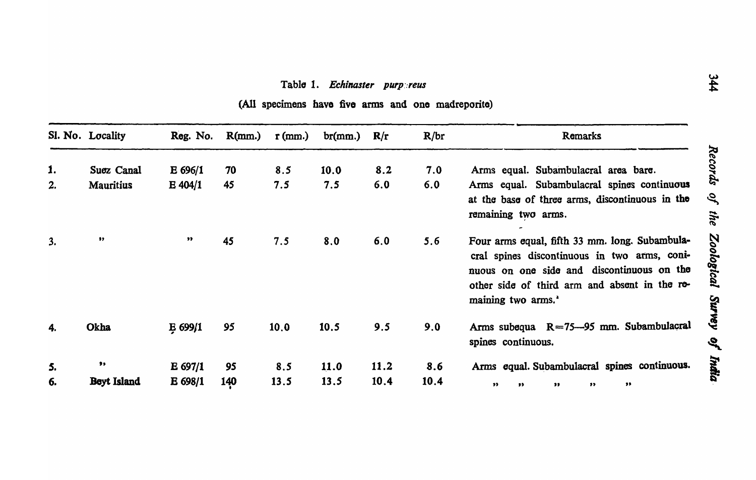## Table 1. Echinaster purpereus

(All specimens have five arms and one madreporite)

|    | Sl. No. Locality | Reg. No.         | R(mm.) | $r$ (mm.) | br(mm.)     | R/r         | R/br | Remarks                                                                                                                                                                                                                         |
|----|------------------|------------------|--------|-----------|-------------|-------------|------|---------------------------------------------------------------------------------------------------------------------------------------------------------------------------------------------------------------------------------|
| 1. | Suez Canal       | E 696/1          | 70     | 8.5       | 10.0        | 8.2         | 7.0  | Arms equal. Subambulacral area bare.                                                                                                                                                                                            |
| 2. | <b>Mauritius</b> | $E$ 404/1        | 45     | 7.5       | 7.5         | 6.0         | 6.0  | Arms equal. Subambulacral spines continuous<br>at the base of three arms, discontinuous in the<br>remaining two arms.                                                                                                           |
| 3. | $\bullet$        | $\bullet\bullet$ | 45     | 7.5       | 8.0         | 6.0         | 5.6  | Four arms equal, fifth 33 mm. long. Subambula-<br>cral spines discontinuous in two arms, coni-<br>nuous on one side and discontinuous on the<br>other side of third arm and absent in the re-<br>maining two arms. <sup>*</sup> |
| 4. | Okha             | $E$ 699/1        | 95     | 10.0      | 10.5        | 9.5         | 9.0  | Arms subequa $R = 75 - 95$ mm. Subambulacral<br>spines continuous.                                                                                                                                                              |
| 5. | ,,               | $E$ 697/1        | 95     | 8.5       | <b>11.0</b> | <b>11.2</b> | 8.6  | Arms equal. Subambulacral spines continuous.                                                                                                                                                                                    |
| 6. | Beyt Island      | E 698/1          | 140    | 13.5      | 13.5        | 10.4        | 10.4 | ,,<br>$\bullet$<br>$\bullet$<br>$\bullet$<br>$\bullet$                                                                                                                                                                          |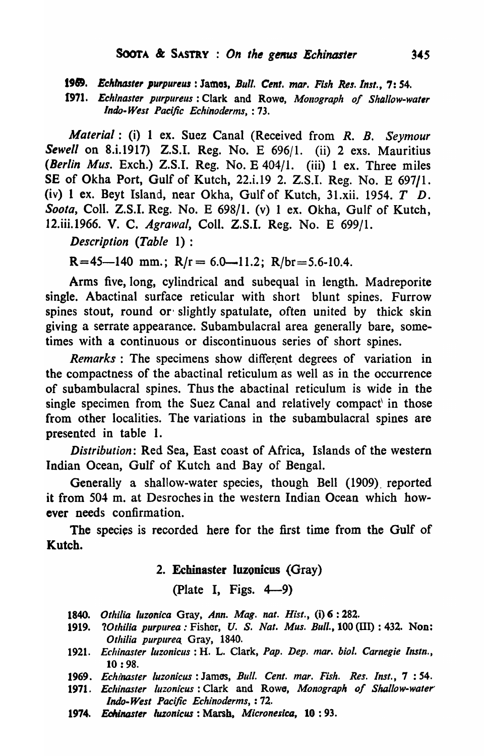*198. Eclllntut,r l'urpurew* : Jamas, *Bull. Cellt. mar. Fish Res.lnst.,* 7: 54.

1971. *Echinaster purpureus*: Clark and Rowe, Monograph of Shallow-water *Indo- W,st Pacific Echinoderms,* : 73.

*Material:* (i) 1 ex. Suez Canal (Received from *R. B. Seymour Sewell* on S.i.I917) Z.S.I. Reg. No. E 696/1. (ii) 2 exs. Mauritius *(Berlin Mus.* Exch.) Z.S.I. Reg. No. E 404/1. (iii) 1 ex. Three miles SE of Okha Port, Gulf of Kutch, 22.i.19 2. Z.S.I. Reg. No. E 697/1. (iv) 1 ex. Beyt Island, near Okha, Gulf of Kutch, 31.xii. 1954.  $T$  D. *Soota,* Call. Z.S.I. Reg. No. E 698/1. (v) 1 ex. Okha, Gulf of Kutch, 12.iii.1966. V. C. *Agrawal,* Coil. Z.S.I. Reg. No. E 699/1.

*Description (Table* 1) :

 $R=45-140$  mm.;  $R/r= 6.0-11.2$ ;  $R/br=5.6-10.4$ .

Arms five, long, cylindrical and subequal in length. Madreporite single. Abactinal surface reticular with short blunt spines. Furrow spines stout, round or' slightly spatulate, often united by thick skin giving a serrate appearance. Subambulacral area generally bare, sometimes with a continuous or discontinuous series of short spines.

*Remarks* : The specimens show different degrees of variation in the compactness of the abactinal reticulum as well as in the occurrence of subambulacral spines. Thus the abactinal reticulum is wide in the single specimen from the Suez Canal and relatively compact in those from other localities. The variations in the subambulacral spines are presented in table 1.

*Distribution:* Red Sea, East coast of Africa, Islands of the western Indian Ocean, Gulf of Kutch and Bay of Bengal.

Generally a shallow-water species, though Bell (1909). reported it from 504 m. at Desroches in the western Indian Ocean which however needs confirmation.

The species is recorded here for the first time from the Gulf of Kutch.

## 2. Echinaster luzonicus (Gray)

(Plate I, Figs.  $4-9$ )

- 1840. Othilia luzonica Gray, *Ann. Mag. nat. Hist.*, (i) 6:282.
- 1919. *?Othilia purpurea : Fisher, U. S. Nat. Mus. Bull.,* 100 (III) : 432. Non: *Othilia purpurea Gray, 1840.*
- *1921. Echinaster luzonicus* : H. L. Clark, *Pap. Dep. mar. bioi. Carnegie Instn.,*  10 : 98.
- *1969. Echinaster luzonicus* : James, *Bull. Cent. mar. Fish. Res. Inst.,* 7 : 54.
- 1971. Echinaster luzonicus: Clark and Rowe, *Monograph of Shallow-water Indo· West Pacific Echinoderms,* : 72.
- 1974. Echinaster luzonicus: Marsh, *Micronesica*, 10: 93.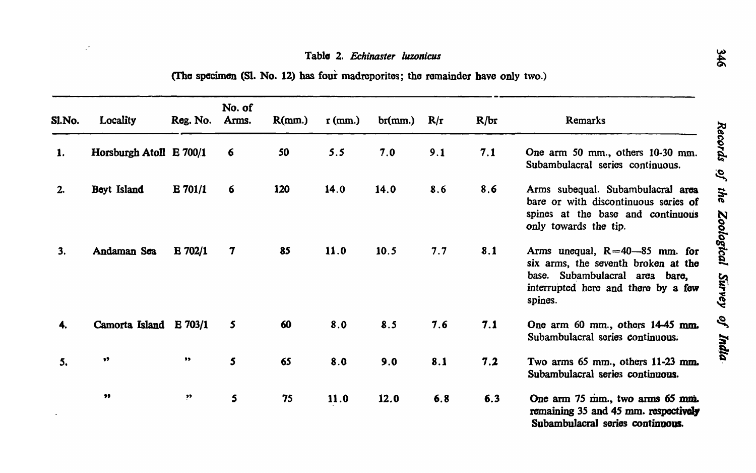## Table 2. Echinaster luzonicus

| Sl.No. | Locality                | Reg. No.       | No. of<br>Arms. | R(mm.) | $r$ (mm.) | br(mm.) | R/r | R/br | Remarks                                                                                                                                                        |
|--------|-------------------------|----------------|-----------------|--------|-----------|---------|-----|------|----------------------------------------------------------------------------------------------------------------------------------------------------------------|
| 1.     | Horsburgh Atoll E 700/1 |                | 6               | 50     | 5.5       | 7.0     | 9.1 | 7.1  | One arm 50 mm., others 10-30 mm.<br>Subambulacral series continuous.                                                                                           |
| 2.     | Beyt Island             | $E \, 701/1$   | 6               | 120    | 14.0      | 14.0    | 8.6 | 8.6  | Arms subequal. Subambulacral area<br>bare or with discontinuous series of<br>spines at the base and continuous<br>only towards the tip.                        |
| 3.     | Andaman Sea             | $E \, 702/1$   | 7               | 85     | 11.0      | 10.5    | 7.7 | 8.1  | Arms unequal, $R = 40 - 85$ mm. for<br>six arms, the seventh broken at the<br>base. Subambulacral area bare,<br>interrupted here and there by a few<br>spines. |
|        | Camorta Island          | <b>E</b> 703/1 | 5               | 60     | 8.0       | 8.5     | 7.6 | 7.1  | One arm 60 mm., others 14-45 mm.<br>Subambulacral series continuous.                                                                                           |
| 5.     | $\bullet$               | "              | $5\overline{5}$ | 65     | 8.0       | 9.0     | 8.1 | 7.2  | Two arms 65 mm., others 11-23 mm.<br>Subambulacral series continuous.                                                                                          |
|        | $\pmb{\mathfrak{H}}$    | $\mathbf{P}$   | 5               | 75     | 11.0      | 12.0    | 6.8 | 6.3  | One arm 75 mm., two arms 65 mm.<br>remaining 35 and 45 mm. respectively<br>Subambulacral series continuous.                                                    |

(The specimen (Sl. No. 12) has four madreporites; the remainder have only two.)

 $\mathbb{R}^2$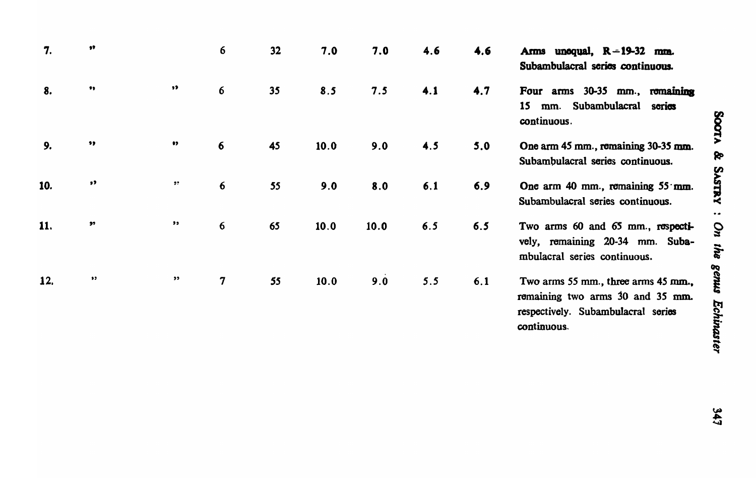| 7.  | $^{\bullet\bullet}$  |                           | 6               | 32 | 7.0  | 7.0  | 4.6 | 4.6 | Arms unequal, $R = 19-32$ mm.<br>Subambulacral series continuous.                                                            |
|-----|----------------------|---------------------------|-----------------|----|------|------|-----|-----|------------------------------------------------------------------------------------------------------------------------------|
| 8.  | $\bullet\bullet$     | $\bullet\bullet$          | 6               | 35 | 8.5  | 7.5  | 4.1 | 4.7 | Four arms 30-35 mm., remaining<br>15<br>Subambulacral<br>sorios<br>mm.<br>continuous.                                        |
| 9.  | $\bullet\bullet$     | $^{\bullet}$              | 6               | 45 | 10.0 | 9.0  | 4.5 | 5.0 | One arm 45 mm., remaining 30-35 mm.<br>Subambulacral series continuous.                                                      |
| 10. | $\pmb{\mathfrak{z}}$ | $\bullet$                 | $6\phantom{1}6$ | 55 | 9.0  | 8.0  | 6.1 | 6.9 | One arm 40 mm., remaining 55 mm.<br>Subambulacral series continuous.                                                         |
| 11. | $\bullet$            | $\pmb{\cdot}$             | 6               | 65 | 10.0 | 10.0 | 6.5 | 6.5 | Two arms 60 and 65 mm., respecti-<br>vely, remaining 20-34 mm. Suba-<br>mbulacral series continuous.                         |
| 12. | $\bullet$ $\bullet$  | $\boldsymbol{\mathsf{5}}$ | $\mathbf 7$     | 55 | 10.0 | 9.0  | 5.5 | 6.1 | Two arms 55 mm., three arms 45 mm.,<br>remaining two arms 30 and 35 mm.<br>respectively. Subambulacral series<br>continuous. |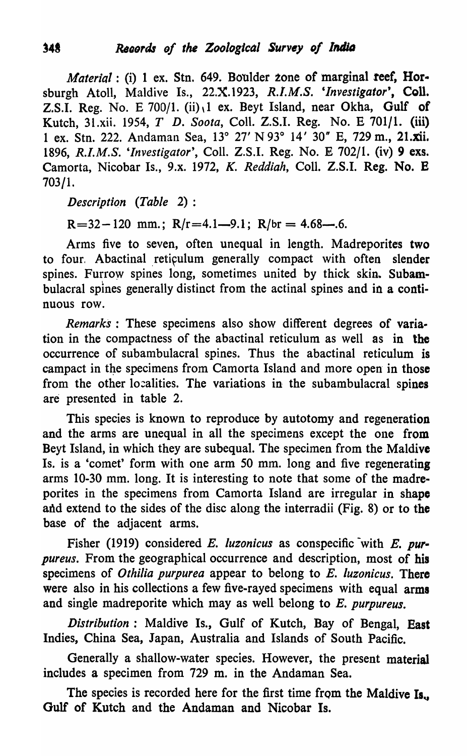*Material* : (i) 1 ex. Stn. 649. Boulder zone of marginal reef, Horsburgh Atoll, Maldive Is., 22.X.1923, R.I.M.S. 'Investigator', Coll. Z.S.I. Reg. No. E  $700/1$ . (ii), 1 ex. Beyt Island, near Okha, Gulf of Kutch, 31.xii. 1954, *T D. Soota,* CoIl. Z.S.I. Reg. No. E 701/1. (iii) 1 ex. Stn. 222. Andaman Sea, 13° 27' N 93° 14' 30" E, 729 m., 21.xii. 1896, *R.I.M.S. 'Investigator',* ColI. Z.S.I. Reg. No. E 702/1. (iv) 9 exs. Camorta, Nicobar Is., 9.x. 1972, *K. Reddiah,* ColI. Z.S.I. Reg. No. E 703/1.

*DescriptiQn (Table* 2):

 $R=32-120$  mm.;  $R/r=4.1-9.1$ ;  $R/br=4.68-.6$ .

Arms five to seven, often unequal in length. Madreporites two to four. Abactinal reticulum generally compact with often slender spines. Furrow spines long, sometimes united by thick skin. Subambulacral spines generally distinct from the actinal spines and in a continuous row.

*Remarks* : These specimens also show different degrees of variation in the compactness of the abactinal reticulum as well as in the occurrence of subambulacral spines. Thus the abactinal reticulum is campact in the specimens from Camorta Island and more open in those from the other 10:aIities. The variations in the subambulacral spines are presented in table 2.

This species is known to reproduce by autotomy and regeneration and the arms are unequal in all the specimens except the one from Beyt Island, in which they are subequaI. The specimen from the Maldive Is. is a 'comet' form with one arm 50 mm. long and five regenerating arms 10-30 mm. long. It is interesting to note that some of the madreporites in the specimens from Camorta Island are irregular in shape and extend to the sides of the disc along the interradii (Fig. 8) or to the base of the adjacent arms.

Fisher (1919) considered *E. luzonicus* as conspecific with *E. purpureus.* From the geographical occurrence and description, most of his specimens of *Othilia purpurea* appear to belong to *E. luzonicus.* There were also in his collections a few five-rayed specimens with equal arms and single madreporite which may as well belong to *E. purpureus.* 

*Distribution:* Maldive Is., Gulf of Kutch, Bay of Bengal, East Indies, China Sea, Japan, Australia and Islands of South Pacific.

Generally a shallow-water species. However, the present material includes a specimen from 729 m. in the Andaman Sea.

The species is recorded here for the first time from the Maldive Is. Gulf of Kutch and the Andaman and Nicobar Is.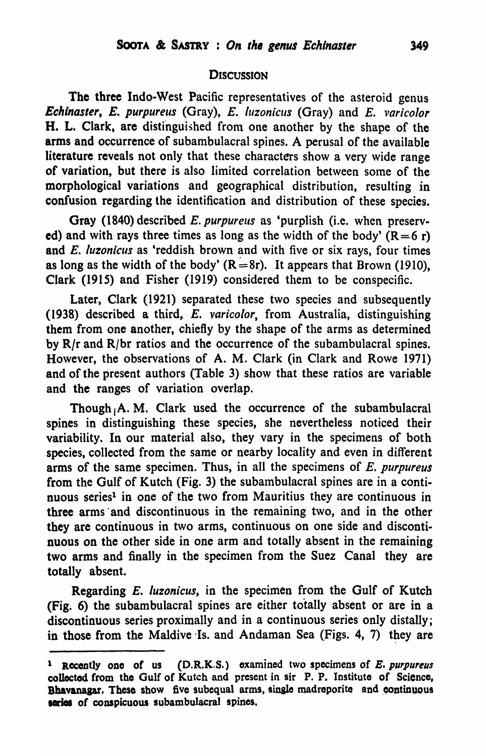#### **DISCUSSION**

The three Indo-West Pacific representatives of the asteroid genus *Echinaster, E. purpureus* (Gray), *E. luzonicus* (Gray) and *E. varicolor* H. L. Clark, are distinguished from one another by the shape of the arms and occurrence of subambulacral spines. A perusal of the available literature reveals not only that these characters show a very wide range of variation, but there is also limited correlation between some of the morphological variations and geographical distribution, resulting in confusion regarding the identification and distribution of these species.

Gray (1840) described E. *purpureus* as 'purplish (i.e. when preserved) and with rays three times as long as the width of the body'  $(R=6 r)$ and *E. luzonicus* as 'reddish brown and with five or six rays, four times as long as the width of the body'  $(R=8r)$ . It appears that Brown (1910), Clark (1915) and Fisher (1919) considered them to be conspecific.

Later, Clark (1921) separated these two species and subsequently (1938) described a third, E. varicolor, from Australia, distinguishing them from one another, chiefly by the shape of the arms as determined by  $R/r$  and  $R/br$  ratios and the occurrence of the subambulacral spines. However, the observations of A. M. Clark (in Clark and Rowe 1971) and of the present authors (Table 3) show that these ratios are variable and the ranges of variation overlap.

Though  $\mathbf{A}$ . M. Clark used the occurrence of the subambulacral spines in distinguishing these species, she nevertheless noticed their variability. In our material also, they vary in the specimens of both species, collected from the same or nearby locality and even in different arms of the same specimen. Thus, in all the specimens of E. *purpureus*  from the Gulf of Kutch (Fig. 3) the subambulacral spines are in a continuous series<sup>1</sup> in one of the two from Mauritius they are continuous in three arms' and discontinuous in the remaining two, and in the other they are continuous in two arms, continuous on one side and discontinuous on the other side in one arm and totally absent in the remaining two arms and finally in the specimen from the Suez Canal they are totally absent.

Regarding E. */uzonicus,* in the specimen from the Gulf of Kutch (Fig. 6) the subambulacral spines are either totally absent or are in a discontinuous series proximally and in a continuous series only distally; in those from the Maldive Is. and Andaman Sea (Figs. 4, 7) they are

 $1$  Recently one of us (D.R.K.S.) examined two specimens of E. purpureus collected from the Gulf of Kutch and present in sir P. P. Institute of Science, Bhavanagar. These show five subequal arms, single madreporite and continuous saries of conspicuous subambulacral spines.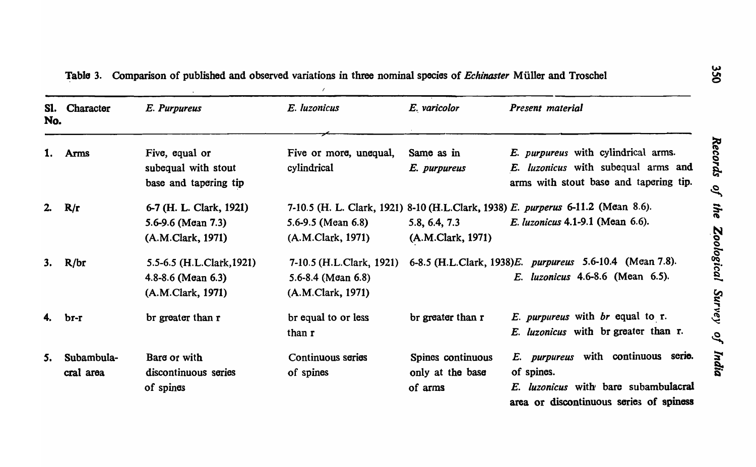| SI.<br>No. | Character               | E. Purpureus                                                             | E. luzonicus                                                           | E. varicolor                                     | Present material                                                                                                                     |
|------------|-------------------------|--------------------------------------------------------------------------|------------------------------------------------------------------------|--------------------------------------------------|--------------------------------------------------------------------------------------------------------------------------------------|
| 1.         | Arms                    | Five, equal or<br>subequal with stout<br>base and tapering tip           | Five or more, unequal,<br>cylindrical                                  | Same as in<br>E. purpureus                       | E. purpureus with cylindrical arms.<br>E. luzonicus with subequal arms and<br>arms with stout base and tapering tip.                 |
| 2.         | R/r                     | 6-7 (H. L. Clark, 1921)<br>5.6-9.6 (Mean 7.3)<br>(A.M.Clark, 1971)       | 5.6-9.5 (Mean $6.8$ )<br>(A.M.Clark, 1971)                             | 5.8, 6.4, 7.3<br>(A.M.Clark, 1971)               | 7-10.5 (H. L. Clark, 1921) 8-10 (H.L.Clark, 1938) E. purperus 6-11.2 (Mean 8.6).<br><i>E. luzonicus</i> 4.1-9.1 (Mean 6.6).          |
| 3.         | R/br                    | 5.5-6.5 (H.L.Clark, 1921)<br>$4.8 - 8.6$ (Mean 6.3)<br>(A.M.Clark, 1971) | 7-10.5 (H.L.Clark, 1921)<br>5.6-8.4 (Mean $6.8$ )<br>(A.M.Clark, 1971) |                                                  | 6-8.5 (H.L.Clark, 1938) E. purpureus 5.6-10.4 (Mean 7.8).<br><i>E. luzonicus</i> 4.6-8.6 (Mean 6.5).                                 |
| 4.         | br-r                    | br greater than r                                                        | br equal to or less<br>than r                                          | br greater than r                                | E. purpureus with br equal to r.<br>E. luzonicus with br greater than r.                                                             |
| 5.         | Subambula-<br>cral area | Bare or with<br>discontinuous series<br>of spines                        | Continuous series<br>of spines                                         | Spines continuous<br>only at the base<br>of arms | E. purpureus with continuous serie.<br>of spines.<br>E. luzonicus with bare subambulacral<br>area or discontinuous series of spiness |

~abla 3. Comparison of published and observed variations in three nominal species of *Echinaster* M iiller and Troschel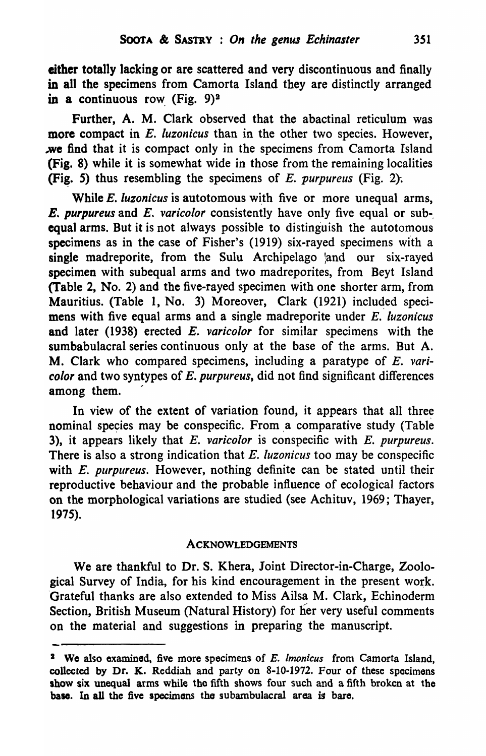either totally lacking or are scattered and very discontinuous and finally in all the specimens from Camorta Island they are distinctly arranged in a continuous row (Fig.  $9)^2$ 

Further, A. M. Clark observed that the abactinal reticulum was more compact in *E. luzonicus* than in the other two species. However, we find that it is compact only in the specimens from Camorta Island (Fig. 8) while it is somewhat wide in those from the remaining localities (Fig. 5) thus resembling the specimens of  $E$ . *purpureus* (Fig. 2).

While *E. luzonicus* is autotomous with five or more unequal arms, *E. purpureus* and *E.. varicolor* consistently have only five equal or sub-, equal arms. But it is not always possible to distinguish the autotomous specimens as in the case of Fisher's (1919) six-rayed specimens with a single madreporite, from the Sulu Archipelago and our six-rayed specimen with subequal arms and two madreporites, from Beyt Island (Table 2, No. 2) and the five-rayed specimen with one shorter arm, from Mauritius. (Table 1, No. 3) Moreover, Clark (1921) included specimens with five equal arms and a single madreporite under E. *luzonicus*  and later (1938) erected E. *varicolor* for similar specimens with the sumbabulacral series continuous only at the base of the arms. But A. M. Clark who compared specimens, including a paratype of E. *varicolor* and two syntypes of *E. purpureus,* did not find significant differences among them.

In view of the extent of variation found, it appears that all three nominal species may be conspecific. From a comparative study (Table 3), it appears likely that *E. varicolor* is conspecific with *E. purpureus.* There is also a strong indication that *E. luzonicus* too may be conspecific with *E. purpureus.* However, nothing definite can be stated until their reproductive behaviour and the probable influence of ecological factors on the morphological variations are studied (see Achituv, 1969; Thayer, 1975).

## ACKNOWLEDGEMENTS

We are thankful to Dr. S. Khera, Joint Director-in-Charge, Zoological Survey of India, for his kind encouragement in the present work. 'Grateful thanks are also extended to Miss Ailsa M. Clark, Echinoderm Section, British Museum (Natural History) for her very useful comments on the material and suggestions in preparing the manuscript.

<sup>&</sup>lt;sup>2</sup> We also examined, five more specimens of *E. lmonicus* from Camorta Island, collected by Dr. K. Reddiah and party on 8-10-1972. Four of these specimens show six unequal arms while the fifth shows four such and a fifth broken at the base. In all the five specimens the subambulacral area is bare.